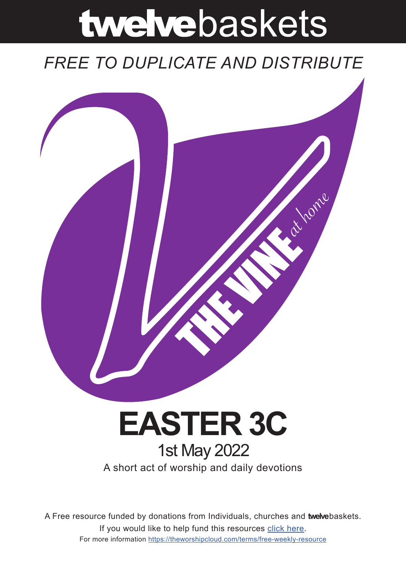# twelvebaskets

# *FREE TO DUPLICATE AND DISTRIBUTE*



# A short act of worship and daily devotions **EASTER 3C** 1st May 2022

A Free resource funded by donations from Individuals, churches and **twelve**baskets. If you would like to help fund this resources click here. For more information https://theworshipcloud.com/terms/free-weekly-resource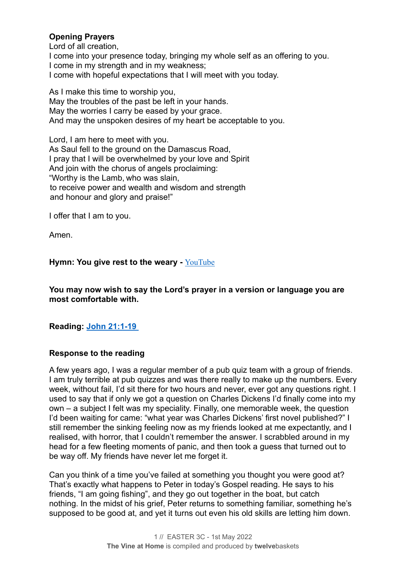# **Opening Prayers**

Lord of all creation,

I come into your presence today, bringing my whole self as an offering to you. I come in my strength and in my weakness; I come with hopeful expectations that I will meet with you today.

As I make this time to worship you, May the troubles of the past be left in your hands. May the worries I carry be eased by your grace. And may the unspoken desires of my heart be acceptable to you.

Lord, I am here to meet with you. As Saul fell to the ground on the Damascus Road, I pray that I will be overwhelmed by your love and Spirit And join with the chorus of angels proclaiming: "Worthy is the Lamb, who was slain, to receive power and wealth and wisdom and strength and honour and glory and praise!"

I offer that I am to you.

Amen.

# **Hymn: You give rest to the weary -** [YouTube](https://www.youtube.com/watch?v=qjNDrwapYyQ)

**You may now wish to say the Lord's prayer in a version or language you are most comfortable with.**

**Reading: [John 21:1-19](https://www.biblegateway.com/passage/?search=John+21:1-19+&version=NRSV)**

# **Response to the reading**

A few years ago, I was a regular member of a pub quiz team with a group of friends. I am truly terrible at pub quizzes and was there really to make up the numbers. Every week, without fail, I'd sit there for two hours and never, ever got any questions right. I used to say that if only we got a question on Charles Dickens I'd finally come into my own – a subject I felt was my speciality. Finally, one memorable week, the question I'd been waiting for came: "what year was Charles Dickens' first novel published?" I still remember the sinking feeling now as my friends looked at me expectantly, and I realised, with horror, that I couldn't remember the answer. I scrabbled around in my head for a few fleeting moments of panic, and then took a guess that turned out to be way off. My friends have never let me forget it.

Can you think of a time you've failed at something you thought you were good at? That's exactly what happens to Peter in today's Gospel reading. He says to his friends, "I am going fishing", and they go out together in the boat, but catch nothing. In the midst of his grief, Peter returns to something familiar, something he's supposed to be good at, and yet it turns out even his old skills are letting him down.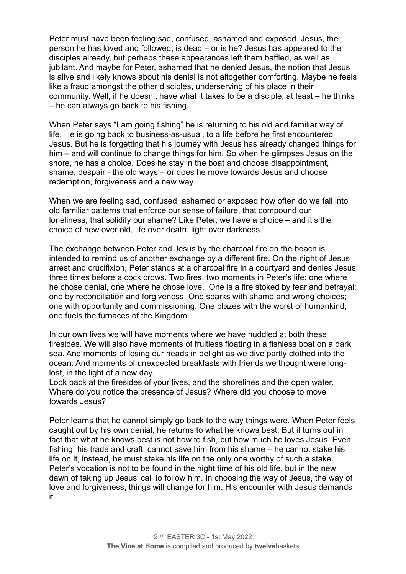Peter must have been feeling sad, confused, ashamed and exposed. Jesus, the person he has loved and followed, is dead – or is he? Jesus has appeared to the disciples already, but perhaps these appearances left them baffled, as well as jubilant. And maybe for Peter, ashamed that he denied Jesus, the notion that Jesus is alive and likely knows about his denial is not altogether comforting. Maybe he feels like a fraud amongst the other disciples, underserving of his place in their community. Well, if he doesn't have what it takes to be a disciple, at least – he thinks – he can always go back to his fishing.

When Peter says "I am going fishing" he is returning to his old and familiar way of life. He is going back to business-as-usual, to a life before he first encountered Jesus. But he is forgetting that his journey with Jesus has already changed things for him – and will continue to change things for him. So when he glimpses Jesus on the shore, he has a choice. Does he stay in the boat and choose disappointment, shame, despair - the old ways – or does he move towards Jesus and choose redemption, forgiveness and a new way.

When we are feeling sad, confused, ashamed or exposed how often do we fall into old familiar patterns that enforce our sense of failure, that compound our loneliness, that solidify our shame? Like Peter, we have a choice – and it's the choice of new over old, life over death, light over darkness.

The exchange between Peter and Jesus by the charcoal fire on the beach is intended to remind us of another exchange by a different fire. On the night of Jesus arrest and crucifixion, Peter stands at a charcoal fire in a courtyard and denies Jesus three times before a cock crows. Two fires, two moments in Peter's life: one where he chose denial, one where he chose love. One is a fire stoked by fear and betrayal; one by reconciliation and forgiveness. One sparks with shame and wrong choices; one with opportunity and commissioning. One blazes with the worst of humankind; one fuels the furnaces of the Kingdom.

In our own lives we will have moments where we have huddled at both these firesides. We will also have moments of fruitless floating in a fishless boat on a dark sea. And moments of losing our heads in delight as we dive partly clothed into the ocean. And moments of unexpected breakfasts with friends we thought were longlost, in the light of a new day.

Look back at the firesides of your lives, and the shorelines and the open water. Where do you notice the presence of Jesus? Where did you choose to move towards Jesus?

Peter learns that he cannot simply go back to the way things were. When Peter feels caught out by his own denial, he returns to what he knows best. But it turns out in fact that what he knows best is not how to fish, but how much he loves Jesus. Even fishing, his trade and craft, cannot save him from his shame – he cannot stake his life on it, instead, he must stake his life on the only one worthy of such a stake. Peter's vocation is not to be found in the night time of his old life, but in the new dawn of taking up Jesus' call to follow him. In choosing the way of Jesus, the way of love and forgiveness, things will change for him. His encounter with Jesus demands it.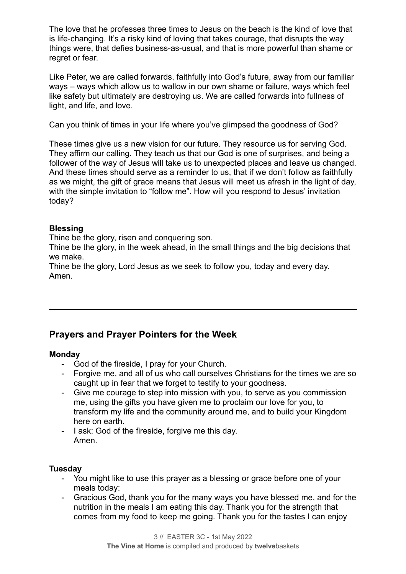The love that he professes three times to Jesus on the beach is the kind of love that is life-changing. It's a risky kind of loving that takes courage, that disrupts the way things were, that defies business-as-usual, and that is more powerful than shame or regret or fear.

Like Peter, we are called forwards, faithfully into God's future, away from our familiar ways – ways which allow us to wallow in our own shame or failure, ways which feel like safety but ultimately are destroying us. We are called forwards into fullness of light, and life, and love.

Can you think of times in your life where you've glimpsed the goodness of God?

These times give us a new vision for our future. They resource us for serving God. They affirm our calling. They teach us that our God is one of surprises, and being a follower of the way of Jesus will take us to unexpected places and leave us changed. And these times should serve as a reminder to us, that if we don't follow as faithfully as we might, the gift of grace means that Jesus will meet us afresh in the light of day, with the simple invitation to "follow me". How will you respond to Jesus' invitation today?

# **Blessing**

Thine be the glory, risen and conquering son.

Thine be the glory, in the week ahead, in the small things and the big decisions that we make.

Thine be the glory, Lord Jesus as we seek to follow you, today and every day. Amen.

# **Prayers and Prayer Pointers for the Week**

# **Monday**

- God of the fireside, I pray for your Church.
- Forgive me, and all of us who call ourselves Christians for the times we are so caught up in fear that we forget to testify to your goodness.
- Give me courage to step into mission with you, to serve as you commission me, using the gifts you have given me to proclaim our love for you, to transform my life and the community around me, and to build your Kingdom here on earth.
- I ask: God of the fireside, forgive me this day. Amen.

# **Tuesday**

- You might like to use this prayer as a blessing or grace before one of your meals today:
- Gracious God, thank you for the many ways you have blessed me, and for the nutrition in the meals I am eating this day. Thank you for the strength that comes from my food to keep me going. Thank you for the tastes I can enjoy